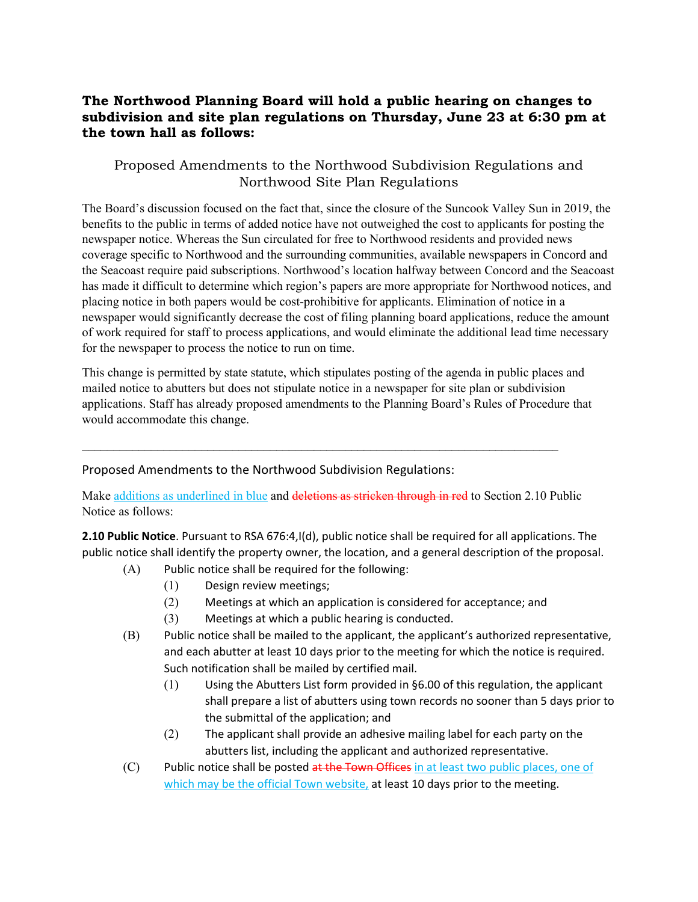## **The Northwood Planning Board will hold a public hearing on changes to subdivision and site plan regulations on Thursday, June 23 at 6:30 pm at the town hall as follows:**

## Proposed Amendments to the Northwood Subdivision Regulations and Northwood Site Plan Regulations

The Board's discussion focused on the fact that, since the closure of the Suncook Valley Sun in 2019, the benefits to the public in terms of added notice have not outweighed the cost to applicants for posting the newspaper notice. Whereas the Sun circulated for free to Northwood residents and provided news coverage specific to Northwood and the surrounding communities, available newspapers in Concord and the Seacoast require paid subscriptions. Northwood's location halfway between Concord and the Seacoast has made it difficult to determine which region's papers are more appropriate for Northwood notices, and placing notice in both papers would be cost-prohibitive for applicants. Elimination of notice in a newspaper would significantly decrease the cost of filing planning board applications, reduce the amount of work required for staff to process applications, and would eliminate the additional lead time necessary for the newspaper to process the notice to run on time.

This change is permitted by state statute, which stipulates posting of the agenda in public places and mailed notice to abutters but does not stipulate notice in a newspaper for site plan or subdivision applications. Staff has already proposed amendments to the Planning Board's Rules of Procedure that would accommodate this change.

## Proposed Amendments to the Northwood Subdivision Regulations:

Make additions as underlined in blue and deletions as stricken through in red to Section 2.10 Public Notice as follows:

 $\_$ 

**2.10 Public Notice**. Pursuant to RSA 676:4,I(d), public notice shall be required for all applications. The public notice shall identify the property owner, the location, and a general description of the proposal.

- (A) Public notice shall be required for the following:
	- (1) Design review meetings;
	- (2) Meetings at which an application is considered for acceptance; and
	- (3) Meetings at which a public hearing is conducted.
- (B) Public notice shall be mailed to the applicant, the applicant's authorized representative, and each abutter at least 10 days prior to the meeting for which the notice is required. Such notification shall be mailed by certified mail.
	- (1) Using the Abutters List form provided in §6.00 of this regulation, the applicant shall prepare a list of abutters using town records no sooner than 5 days prior to the submittal of the application; and
	- (2) The applicant shall provide an adhesive mailing label for each party on the abutters list, including the applicant and authorized representative.
- (C) Public notice shall be posted at the Town Offices in at least two public places, one of which may be the official Town website, at least 10 days prior to the meeting.